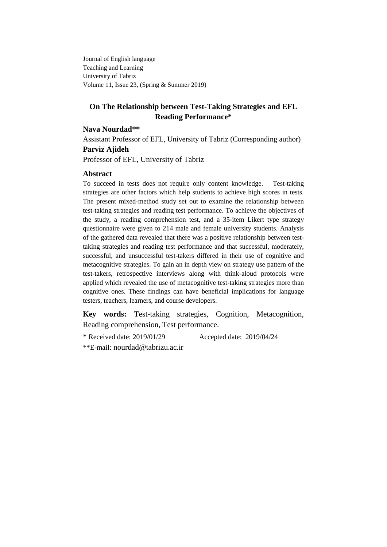Journal of English language Teaching and Learning University of Tabriz Volume 11, Issue 23, (Spring & Summer 2019)

# **On The Relationship between Test-Taking Strategies and EFL Reading Performance\***

## **Nava Nourdad\*\***

Assistant Professor of EFL, University of Tabriz (Corresponding author) **Parviz Ajideh**

Professor of EFL, University of Tabriz

## **Abstract**

To succeed in tests does not require only content knowledge. Test-taking strategies are other factors which help students to achieve high scores in tests. The present mixed-method study set out to examine the relationship between test-taking strategies and reading test performance. To achieve the objectives of the study, a reading comprehension test, and a 35-item Likert type strategy questionnaire were given to 214 male and female university students. Analysis of the gathered data revealed that there was a positive relationship between testtaking strategies and reading test performance and that successful, moderately, successful, and unsuccessful test-takers differed in their use of cognitive and metacognitive strategies. To gain an in depth view on strategy use pattern of the test-takers, retrospective interviews along with think-aloud protocols were applied which revealed the use of metacognitive test-taking strategies more than cognitive ones. These findings can have beneficial implications for language testers, teachers, learners, and course developers.

**Key words:** Test-taking strategies, Cognition, Metacognition, Reading comprehension, Test performance.

\* Received date: 2019/01/29 Accepted date: 2019/04/24 \*\*E-mail: [nourdad@tabrizu.ac.ir](mailto:nourdad@tabrizu.ac.ir)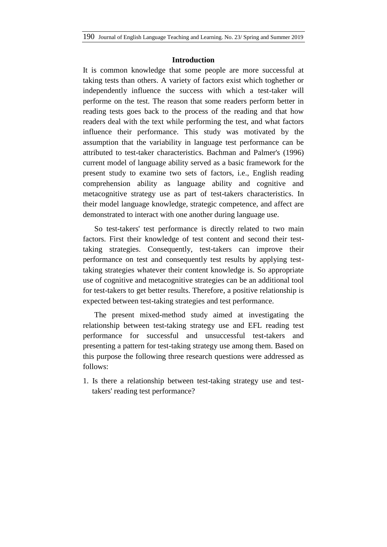### **Introduction**

It is common knowledge that some people are more successful at taking tests than others. A variety of factors exist which toghether or independently influence the success with which a test-taker will performe on the test. The reason that some readers perform better in reading tests goes back to the process of the reading and that how readers deal with the text while performing the test, and what factors influence their performance. This study was motivated by the assumption that the variability in language test performance can be attributed to test-taker characteristics. Bachman and Palmer's (1996) current model of language ability served as a basic framework for the present study to examine two sets of factors, i.e., English reading comprehension ability as language ability and cognitive and metacognitive strategy use as part of test-takers characteristics. In their model language knowledge, strategic competence, and affect are demonstrated to interact with one another during language use.

So test-takers' test performance is directly related to two main factors. First their knowledge of test content and second their testtaking strategies. Consequently, test-takers can improve their performance on test and consequently test results by applying testtaking strategies whatever their content knowledge is. So appropriate use of cognitive and metacognitive strategies can be an additional tool for test-takers to get better results. Therefore, a positive relationship is expected between test-taking strategies and test performance.

The present mixed-method study aimed at investigating the relationship between test-taking strategy use and EFL reading test performance for successful and unsuccessful test-takers and presenting a pattern for test-taking strategy use among them. Based on this purpose the following three research questions were addressed as follows:

1. Is there a relationship between test-taking strategy use and testtakers' reading test performance?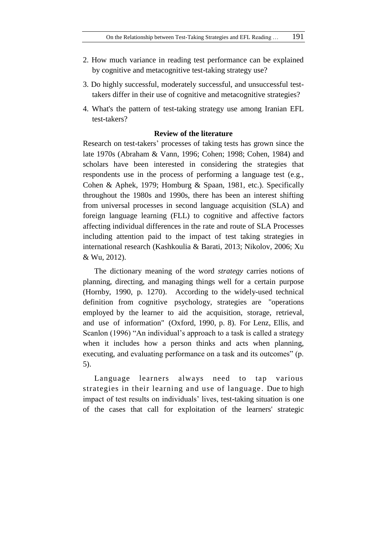- 2. How much variance in reading test performance can be explained by cognitive and metacognitive test-taking strategy use?
- 3. Do highly successful, moderately successful, and unsuccessful testtakers differ in their use of cognitive and metacognitive strategies?
- 4. What's the pattern of test-taking strategy use among Iranian EFL test-takers?

## **Review of the literature**

Research on test-takers' processes of taking tests has grown since the late 1970s (Abraham & Vann, 1996; Cohen; 1998; Cohen, 1984) and scholars have been interested in considering the strategies that respondents use in the process of performing a language test (e.g., Cohen & Aphek, 1979; Homburg & Spaan, 1981, etc.). Specifically throughout the 1980s and 1990s, there has been an interest shifting from universal processes in second language acquisition (SLA) and foreign language learning (FLL) to cognitive and affective factors affecting individual differences in the rate and route of SLA Processes including attention paid to the impact of test taking strategies in international research (Kashkoulia & Barati, 2013; Nikolov, 2006; Xu & Wu, 2012).

The dictionary meaning of the word *strategy* carries notions of planning, directing, and managing things well for a certain purpose (Hornby, 1990, p. 1270). According to the widely-used technical definition from cognitive psychology, strategies are "operations employed by the learner to aid the acquisition, storage, retrieval, and use of information" (Oxford, 1990, p. 8). For Lenz, Ellis, and Scanlon (1996) "An individual's approach to a task is called a strategy when it includes how a person thinks and acts when planning, executing, and evaluating performance on a task and its outcomes" (p. 5).

Language learners always need to tap various strategies in their learning and use of language . Due to high impact of test results on individuals' lives, test-taking situation is one of the cases that call for exploitation of the learners' strategic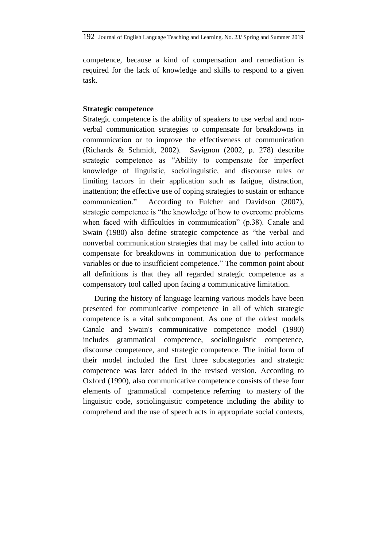competence, because a kind of compensation and remediation is required for the lack of knowledge and skills to respond to a given task.

## **Strategic competence**

Strategic competence is the ability of speakers to use verbal and nonverbal communication strategies to compensate for breakdowns in communication or to improve the effectiveness of communication (Richards & Schmidt, 2002). Savignon (2002, p. 278) describe strategic competence as "Ability to compensate for imperfect knowledge of linguistic, sociolinguistic, and discourse rules or limiting factors in their application such as fatigue, distraction, inattention; the effective use of coping strategies to sustain or enhance communication." According to Fulcher and Davidson (2007), strategic competence is "the knowledge of how to overcome problems when faced with difficulties in communication" (p.38). Canale and Swain (1980) also define strategic competence as "the verbal and nonverbal communication strategies that may be called into action to compensate for breakdowns in communication due to performance variables or due to insufficient competence." The common point about all definitions is that they all regarded strategic competence as a compensatory tool called upon facing a communicative limitation.

During the history of language learning various models have been presented for communicative competence in all of which strategic competence is a vital subcomponent. As one of the oldest models Canale and Swain's communicative competence model (1980) includes grammatical competence, sociolinguistic competence, discourse competence, and strategic competence. The initial form of their model included the first three subcategories and strategic competence was later added in the revised version. According to Oxford (1990), also communicative competence consists of these four elements of grammatical competence referring to mastery of the linguistic code, sociolinguistic competence including the ability to comprehend and the use of speech acts in appropriate social contexts,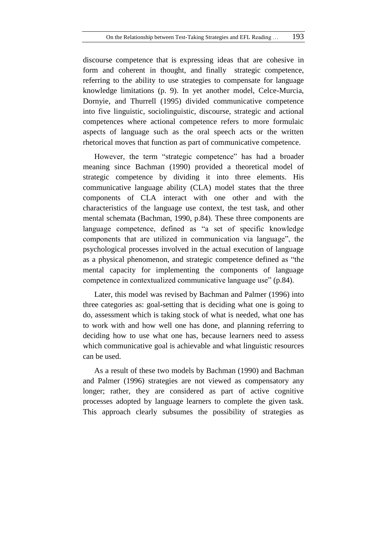discourse competence that is expressing ideas that are cohesive in form and coherent in thought, and finally strategic competence, referring to the ability to use strategies to compensate for language knowledge limitations (p. 9). In yet another model, Celce-Murcia, Dornyie, and Thurrell (1995) divided communicative competence into five linguistic, sociolinguistic, discourse, strategic and actional competences where actional competence refers to more formulaic aspects of language such as the oral speech acts or the written rhetorical moves that function as part of communicative competence.

However, the term "strategic competence" has had a broader meaning since Bachman (1990) provided a theoretical model of strategic competence by dividing it into three elements. His communicative language ability (CLA) model states that the three components of CLA interact with one other and with the characteristics of the language use context, the test task, and other mental schemata (Bachman, 1990, p.84). These three components are language competence, defined as "a set of specific knowledge components that are utilized in communication via language", the psychological processes involved in the actual execution of language as a physical phenomenon, and strategic competence defined as "the mental capacity for implementing the components of language competence in contextualized communicative language use" (p.84).

Later, this model was revised by Bachman and Palmer (1996) into three categories as: goal-setting that is deciding what one is going to do, assessment which is taking stock of what is needed, what one has to work with and how well one has done, and planning referring to deciding how to use what one has, because learners need to assess which communicative goal is achievable and what linguistic resources can be used.

As a result of these two models by Bachman (1990) and Bachman and Palmer (1996) strategies are not viewed as compensatory any longer; rather, they are considered as part of active cognitive processes adopted by language learners to complete the given task. This approach clearly subsumes the possibility of strategies as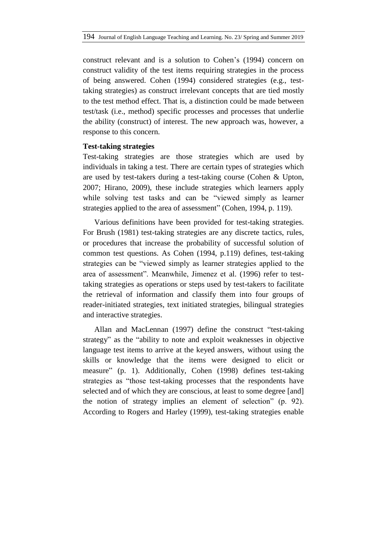construct relevant and is a solution to Cohen's (1994) concern on construct validity of the test items requiring strategies in the process of being answered. Cohen (1994) considered strategies (e.g., testtaking strategies) as construct irrelevant concepts that are tied mostly to the test method effect. That is, a distinction could be made between test/task (i.e., method) specific processes and processes that underlie the ability (construct) of interest. The new approach was, however, a response to this concern.

## **Test-taking strategies**

Test-taking strategies are those strategies which are used by individuals in taking a test. There are certain types of strategies which are used by test-takers during a test-taking course (Cohen & Upton, 2007; Hirano, 2009), these include strategies which learners apply while solving test tasks and can be "viewed simply as learner strategies applied to the area of assessment" (Cohen, 1994, p. 119).

Various definitions have been provided for test-taking strategies. For Brush (1981) test-taking strategies are any discrete tactics, rules, or procedures that increase the probability of successful solution of common test questions. As Cohen (1994, p.119) defines, test-taking strategies can be "viewed simply as learner strategies applied to the area of assessment". Meanwhile, Jimenez et al. (1996) refer to testtaking strategies as operations or steps used by test-takers to facilitate the retrieval of information and classify them into four groups of reader-initiated strategies, text initiated strategies, bilingual strategies and interactive strategies.

Allan and MacLennan (1997) define the construct "test-taking strategy" as the "ability to note and exploit weaknesses in objective language test items to arrive at the keyed answers, without using the skills or knowledge that the items were designed to elicit or measure" (p. 1). Additionally, Cohen (1998) defines test-taking strategies as "those test-taking processes that the respondents have selected and of which they are conscious, at least to some degree [and] the notion of strategy implies an element of selection" (p. 92). According to Rogers and Harley (1999), test-taking strategies enable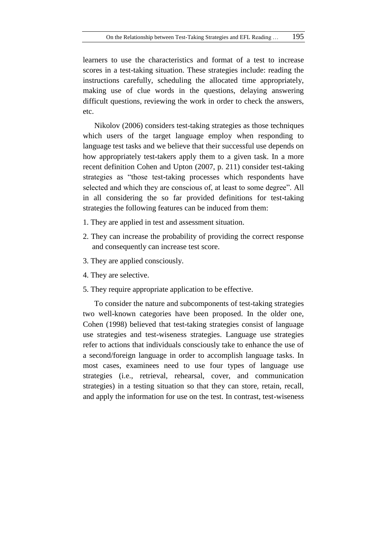learners to use the characteristics and format of a test to increase scores in a test-taking situation. These strategies include: reading the instructions carefully, scheduling the allocated time appropriately, making use of clue words in the questions, delaying answering difficult questions, reviewing the work in order to check the answers, etc.

Nikolov (2006) considers test-taking strategies as those techniques which users of the target language employ when responding to language test tasks and we believe that their successful use depends on how appropriately test-takers apply them to a given task. In a more recent definition Cohen and Upton (2007, p. 211) consider test-taking strategies as "those test-taking processes which respondents have selected and which they are conscious of, at least to some degree". All in all considering the so far provided definitions for test-taking strategies the following features can be induced from them:

- 1. They are applied in test and assessment situation.
- 2. They can increase the probability of providing the correct response and consequently can increase test score.
- 3. They are applied consciously.
- 4. They are selective.
- 5. They require appropriate application to be effective.

To consider the nature and subcomponents of test-taking strategies two well-known categories have been proposed. In the older one, Cohen (1998) believed that test-taking strategies consist of language use strategies and test-wiseness strategies. Language use strategies refer to actions that individuals consciously take to enhance the use of a second/foreign language in order to accomplish language tasks. In most cases, examinees need to use four types of language use strategies (i.e., retrieval, rehearsal, cover, and communication strategies) in a testing situation so that they can store, retain, recall, and apply the information for use on the test. In contrast, test-wiseness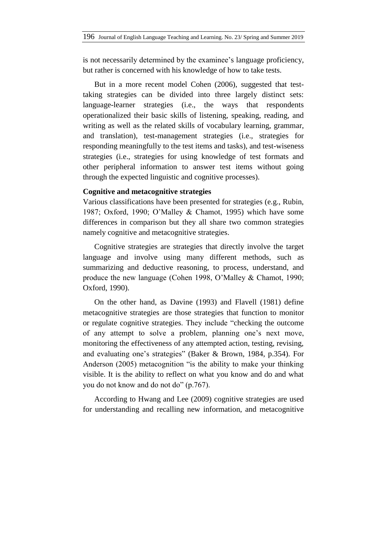is not necessarily determined by the examinee's language proficiency, but rather is concerned with his knowledge of how to take tests.

But in a more recent model Cohen (2006), suggested that testtaking strategies can be divided into three largely distinct sets: language-learner strategies (i.e., the ways that respondents operationalized their basic skills of listening, speaking, reading, and writing as well as the related skills of vocabulary learning, grammar, and translation), test-management strategies (i.e., strategies for responding meaningfully to the test items and tasks), and test-wiseness strategies (i.e., strategies for using knowledge of test formats and other peripheral information to answer test items without going through the expected linguistic and cognitive processes).

## **Cognitive and metacognitive strategies**

Various classifications have been presented for strategies (e.g., Rubin, 1987; Oxford, 1990; O'Malley & Chamot, 1995) which have some differences in comparison but they all share two common strategies namely cognitive and metacognitive strategies.

Cognitive strategies are strategies that directly involve the target language and involve using many different methods, such as summarizing and deductive reasoning, to process, understand, and produce the new language (Cohen 1998, O'Malley & Chamot, 1990; Oxford, 1990).

On the other hand, as Davine (1993) and Flavell (1981) define metacognitive strategies are those strategies that function to monitor or regulate cognitive strategies. They include "checking the outcome of any attempt to solve a problem, planning one's next move, monitoring the effectiveness of any attempted action, testing, revising, and evaluating one's strategies" (Baker & Brown, 1984, p.354). For Anderson (2005) metacognition "is the ability to make your thinking visible. It is the ability to reflect on what you know and do and what you do not know and do not do" (p.767).

According to Hwang and Lee (2009) cognitive strategies are used for understanding and recalling new information, and metacognitive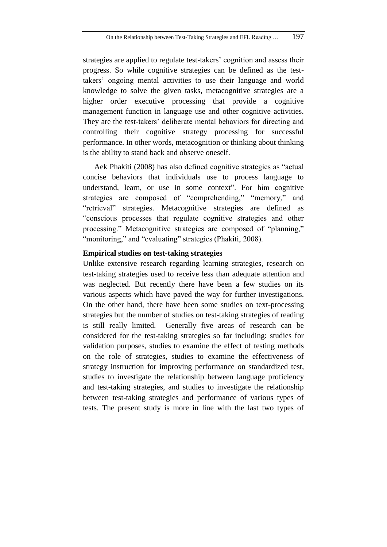strategies are applied to regulate test-takers' cognition and assess their progress. So while cognitive strategies can be defined as the testtakers' ongoing mental activities to use their language and world knowledge to solve the given tasks, metacognitive strategies are a higher order executive processing that provide a cognitive management function in language use and other cognitive activities. They are the test-takers' deliberate mental behaviors for directing and controlling their cognitive strategy processing for successful performance. In other words, metacognition or thinking about thinking is the ability to stand back and observe oneself.

Aek Phakiti (2008) has also defined cognitive strategies as "actual concise behaviors that individuals use to process language to understand, learn, or use in some context". For him cognitive strategies are composed of "comprehending," "memory," and "retrieval" strategies. Metacognitive strategies are defined as "conscious processes that regulate cognitive strategies and other processing." Metacognitive strategies are composed of "planning," "monitoring," and "evaluating" strategies (Phakiti, 2008).

## **Empirical studies on test-taking strategies**

Unlike extensive research regarding learning strategies, research on test-taking strategies used to receive less than adequate attention and was neglected. But recently there have been a few studies on its various aspects which have paved the way for further investigations. On the other hand, there have been some studies on text-processing strategies but the number of studies on test-taking strategies of reading is still really limited. Generally five areas of research can be considered for the test-taking strategies so far including: studies for validation purposes, studies to examine the effect of testing methods on the role of strategies, studies to examine the effectiveness of strategy instruction for improving performance on standardized test, studies to investigate the relationship between language proficiency and test-taking strategies, and studies to investigate the relationship between test-taking strategies and performance of various types of tests. The present study is more in line with the last two types of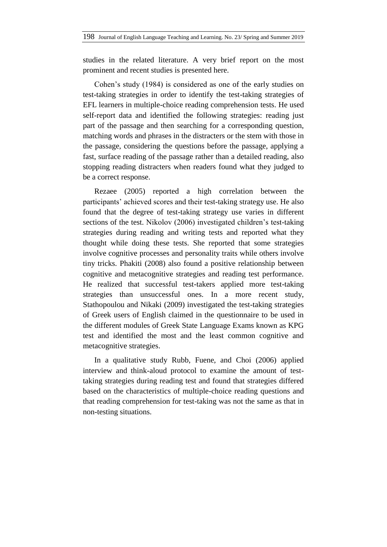studies in the related literature. A very brief report on the most prominent and recent studies is presented here.

Cohen's study (1984) is considered as one of the early studies on test-taking strategies in order to identify the test-taking strategies of EFL learners in multiple-choice reading comprehension tests. He used self-report data and identified the following strategies: reading just part of the passage and then searching for a corresponding question, matching words and phrases in the distracters or the stem with those in the passage, considering the questions before the passage, applying a fast, surface reading of the passage rather than a detailed reading, also stopping reading distracters when readers found what they judged to be a correct response.

Rezaee (2005) reported a high correlation between the participants' achieved scores and their test-taking strategy use. He also found that the degree of test-taking strategy use varies in different sections of the test. Nikolov (2006) investigated children's test-taking strategies during reading and writing tests and reported what they thought while doing these tests. She reported that some strategies involve cognitive processes and personality traits while others involve tiny tricks. Phakiti (2008) also found a positive relationship between cognitive and metacognitive strategies and reading test performance. He realized that successful test-takers applied more test-taking strategies than unsuccessful ones. In a more recent study, Stathopoulou and Nikaki (2009) investigated the test-taking strategies of Greek users of English claimed in the questionnaire to be used in the different modules of Greek State Language Exams known as KPG test and identified the most and the least common cognitive and metacognitive strategies.

In a qualitative study Rubb, Fuene, and Choi (2006) applied interview and think-aloud protocol to examine the amount of testtaking strategies during reading test and found that strategies differed based on the characteristics of multiple-choice reading questions and that reading comprehension for test-taking was not the same as that in non-testing situations.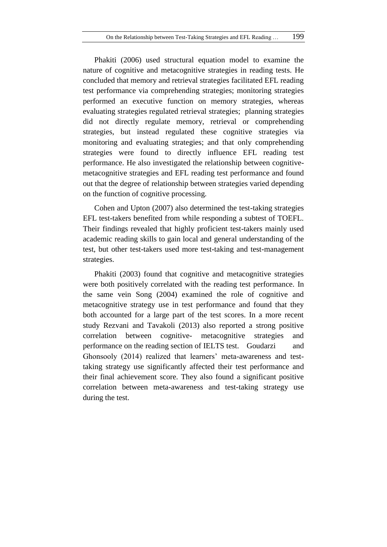Phakiti (2006) used structural equation model to examine the nature of cognitive and metacognitive strategies in reading tests. He concluded that memory and retrieval strategies facilitated EFL reading test performance via comprehending strategies; monitoring strategies performed an executive function on memory strategies, whereas evaluating strategies regulated retrieval strategies; planning strategies did not directly regulate memory, retrieval or comprehending strategies, but instead regulated these cognitive strategies via monitoring and evaluating strategies; and that only comprehending strategies were found to directly influence EFL reading test performance. He also investigated the relationship between cognitivemetacognitive strategies and EFL reading test performance and found out that the degree of relationship between strategies varied depending on the function of cognitive processing.

Cohen and Upton (2007) also determined the test-taking strategies EFL test-takers benefited from while responding a subtest of TOEFL. Their findings revealed that highly proficient test-takers mainly used academic reading skills to gain local and general understanding of the test, but other test-takers used more test-taking and test-management strategies.

Phakiti (2003) found that cognitive and metacognitive strategies were both positively correlated with the reading test performance. In the same vein Song (2004) examined the role of cognitive and metacognitive strategy use in test performance and found that they both accounted for a large part of the test scores. In a more recent study Rezvani and Tavakoli (2013) also reported a strong positive correlation between cognitive- metacognitive strategies and performance on the reading section of IELTS test. Goudarzi and Ghonsooly (2014) realized that learners' meta-awareness and testtaking strategy use significantly affected their test performance and their final achievement score. They also found a significant positive correlation between meta-awareness and test-taking strategy use during the test.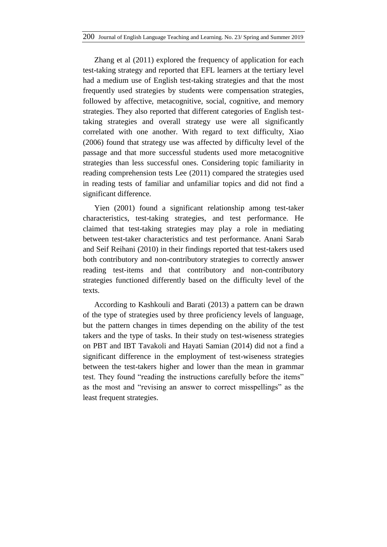Zhang et al (2011) explored the frequency of application for each test-taking strategy and reported that EFL learners at the tertiary level had a medium use of English test-taking strategies and that the most frequently used strategies by students were compensation strategies, followed by affective, metacognitive, social, cognitive, and memory strategies. They also reported that different categories of English testtaking strategies and overall strategy use were all significantly correlated with one another. With regard to text difficulty, Xiao (2006) found that strategy use was affected by difficulty level of the passage and that more successful students used more metacognitive strategies than less successful ones. Considering topic familiarity in reading comprehension tests Lee (2011) compared the strategies used in reading tests of familiar and unfamiliar topics and did not find a significant difference.

Yien (2001) found a significant relationship among test-taker characteristics, test-taking strategies, and test performance. He claimed that test-taking strategies may play a role in mediating between test-taker characteristics and test performance. Anani Sarab and Seif Reihani (2010) in their findings reported that test-takers used both contributory and non-contributory strategies to correctly answer reading test-items and that contributory and non-contributory strategies functioned differently based on the difficulty level of the texts.

According to Kashkouli and Barati (2013) a pattern can be drawn of the type of strategies used by three proficiency levels of language, but the pattern changes in times depending on the ability of the test takers and the type of tasks. In their study on test-wiseness strategies on PBT and IBT Tavakoli and Hayati Samian (2014) did not a find a significant difference in the employment of test-wiseness strategies between the test-takers higher and lower than the mean in grammar test. They found "reading the instructions carefully before the items" as the most and "revising an answer to correct misspellings" as the least frequent strategies.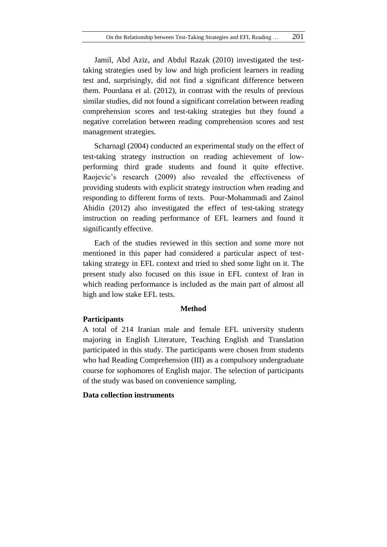Jamil, Abd Aziz, and Abdul Razak (2010) investigated the testtaking strategies used by low and high proficient learners in reading test and, surprisingly, did not find a significant difference between them. Pourdana et al. (2012), in contrast with the results of previous similar studies, did not found a significant correlation between reading comprehension scores and test-taking strategies but they found a negative correlation between reading comprehension scores and test management strategies.

Scharnagl (2004) conducted an experimental study on the effect of test-taking strategy instruction on reading achievement of lowperforming third grade students and found it quite effective. Raojevic's research (2009) also revealed the effectiveness of providing students with explicit strategy instruction when reading and responding to different forms of texts. Pour-Mohammadi and Zainol Abidin (2012) also investigated the effect of test-taking strategy instruction on reading performance of EFL learners and found it significantly effective.

Each of the studies reviewed in this section and some more not mentioned in this paper had considered a particular aspect of testtaking strategy in EFL context and tried to shed some light on it. The present study also focused on this issue in EFL context of Iran in which reading performance is included as the main part of almost all high and low stake EFL tests.

#### **Method**

## **Participants**

A total of 214 Iranian male and female EFL university students majoring in English Literature, Teaching English and Translation participated in this study. The participants were chosen from students who had Reading Comprehension (III) as a compulsory undergraduate course for sophomores of English major. The selection of participants of the study was based on convenience sampling.

### **Data collection instruments**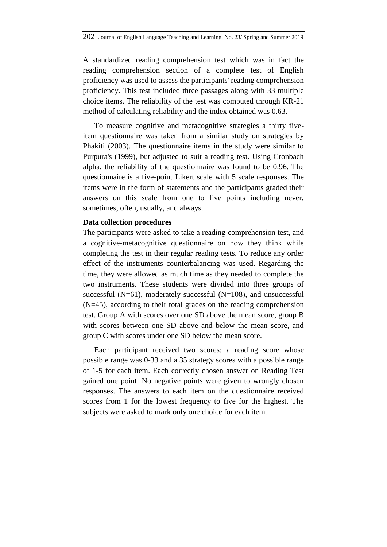A standardized reading comprehension test which was in fact the reading comprehension section of a complete test of English proficiency was used to assess the participants' reading comprehension proficiency. This test included three passages along with 33 multiple choice items. The reliability of the test was computed through KR-21 method of calculating reliability and the index obtained was 0.63.

To measure cognitive and metacognitive strategies a thirty fiveitem questionnaire was taken from a similar study on strategies by Phakiti (2003). The questionnaire items in the study were similar to Purpura's (1999), but adjusted to suit a reading test. Using Cronbach alpha, the reliability of the questionnaire was found to be 0.96. The questionnaire is a five-point Likert scale with 5 scale responses. The items were in the form of statements and the participants graded their answers on this scale from one to five points including never, sometimes, often, usually, and always.

#### **Data collection procedures**

The participants were asked to take a reading comprehension test, and a cognitive-metacognitive questionnaire on how they think while completing the test in their regular reading tests. To reduce any order effect of the instruments counterbalancing was used. Regarding the time, they were allowed as much time as they needed to complete the two instruments. These students were divided into three groups of successful ( $N=61$ ), moderately successful ( $N=108$ ), and unsuccessful (N=45), according to their total grades on the reading comprehension test. Group A with scores over one SD above the mean score, group B with scores between one SD above and below the mean score, and group C with scores under one SD below the mean score.

Each participant received two scores: a reading score whose possible range was 0-33 and a 35 strategy scores with a possible range of 1-5 for each item. Each correctly chosen answer on Reading Test gained one point. No negative points were given to wrongly chosen responses. The answers to each item on the questionnaire received scores from 1 for the lowest frequency to five for the highest. The subjects were asked to mark only one choice for each item.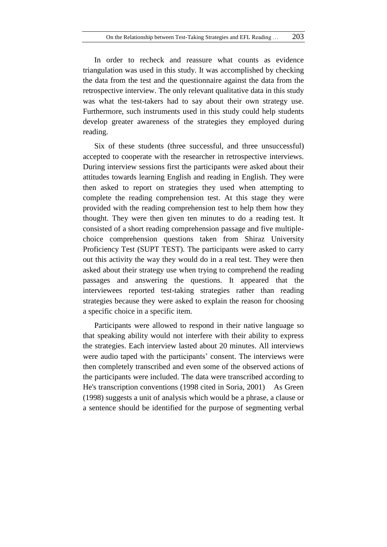In order to recheck and reassure what counts as evidence triangulation was used in this study. It was accomplished by checking the data from the test and the questionnaire against the data from the retrospective interview. The only relevant qualitative data in this study was what the test-takers had to say about their own strategy use. Furthermore, such instruments used in this study could help students develop greater awareness of the strategies they employed during reading.

Six of these students (three successful, and three unsuccessful) accepted to cooperate with the researcher in retrospective interviews. During interview sessions first the participants were asked about their attitudes towards learning English and reading in English. They were then asked to report on strategies they used when attempting to complete the reading comprehension test. At this stage they were provided with the reading comprehension test to help them how they thought. They were then given ten minutes to do a reading test. It consisted of a short reading comprehension passage and five multiplechoice comprehension questions taken from Shiraz University Proficiency Test (SUPT TEST). The participants were asked to carry out this activity the way they would do in a real test. They were then asked about their strategy use when trying to comprehend the reading passages and answering the questions. It appeared that the interviewees reported test-taking strategies rather than reading strategies because they were asked to explain the reason for choosing a specific choice in a specific item.

Participants were allowed to respond in their native language so that speaking ability would not interfere with their ability to express the strategies. Each interview lasted about 20 minutes. All interviews were audio taped with the participants' consent. The interviews were then completely transcribed and even some of the observed actions of the participants were included. The data were transcribed according to He's transcription conventions (1998 cited in Soria, 2001) As Green (1998) suggests a unit of analysis which would be a phrase, a clause or a sentence should be identified for the purpose of segmenting verbal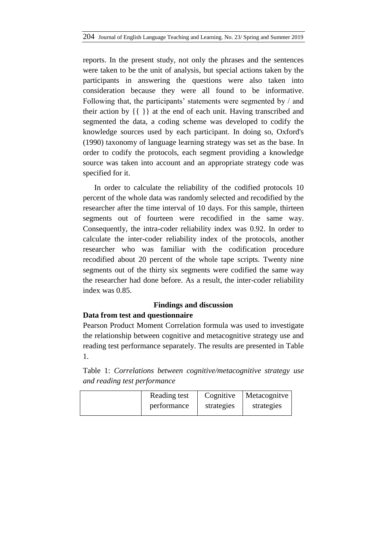reports. In the present study, not only the phrases and the sentences were taken to be the unit of analysis, but special actions taken by the participants in answering the questions were also taken into consideration because they were all found to be informative. Following that, the participants' statements were segmented by / and their action by {{ }} at the end of each unit. Having transcribed and segmented the data, a coding scheme was developed to codify the knowledge sources used by each participant. In doing so, Oxford's (1990) taxonomy of language learning strategy was set as the base. In order to codify the protocols, each segment providing a knowledge source was taken into account and an appropriate strategy code was specified for it.

In order to calculate the reliability of the codified protocols 10 percent of the whole data was randomly selected and recodified by the researcher after the time interval of 10 days. For this sample, thirteen segments out of fourteen were recodified in the same way. Consequently, the intra-coder reliability index was 0.92. In order to calculate the inter-coder reliability index of the protocols, another researcher who was familiar with the codification procedure recodified about 20 percent of the whole tape scripts. Twenty nine segments out of the thirty six segments were codified the same way the researcher had done before. As a result, the inter-coder reliability index was 0.85.

## **Findings and discussion**

## **Data from test and questionnaire**

Pearson Product Moment Correlation formula was used to investigate the relationship between cognitive and metacognitive strategy use and reading test performance separately. The results are presented in Table 1.

Table 1: *Correlations between cognitive/metacognitive strategy use and reading test performance*

| Reading test | Cognitive  | Metacognitve |
|--------------|------------|--------------|
| performance  | strategies | strategies   |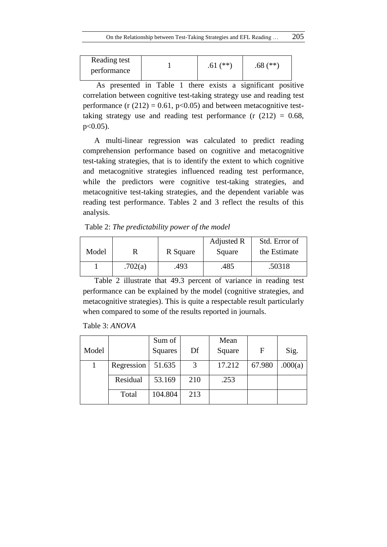| Reading test | $(**)$ | $(**)$           |
|--------------|--------|------------------|
| performance  |        | .68 <sub>0</sub> |

As presented in Table 1 there exists a significant positive correlation between cognitive test-taking strategy use and reading test performance (r  $(212) = 0.61$ , p<0.05) and between metacognitive testtaking strategy use and reading test performance  $(r (212) = 0.68,$ p<0.05).

A multi-linear regression was calculated to predict reading comprehension performance based on cognitive and metacognitive test-taking strategies, that is to identify the extent to which cognitive and metacognitive strategies influenced reading test performance, while the predictors were cognitive test-taking strategies, and metacognitive test-taking strategies, and the dependent variable was reading test performance. Tables 2 and 3 reflect the results of this analysis.

Table 2: *The predictability power of the model*

|       |         |          | Adjusted R | Std. Error of |
|-------|---------|----------|------------|---------------|
| Model |         | R Square | Square     | the Estimate  |
|       | .702(a) | .493     | .485       | .50318        |

Table 2 illustrate that 49.3 percent of variance in reading test performance can be explained by the model (cognitive strategies, and metacognitive strategies). This is quite a respectable result particularly when compared to some of the results reported in journals.

| Table 3: ANOVA |  |
|----------------|--|
|----------------|--|

|       |            | Sum of  |     | Mean   |        |         |
|-------|------------|---------|-----|--------|--------|---------|
| Model |            | Squares | Df  | Square | F      | Sig.    |
|       | Regression | 51.635  | 3   | 17.212 | 67.980 | .000(a) |
|       | Residual   | 53.169  | 210 | .253   |        |         |
|       | Total      | 104.804 | 213 |        |        |         |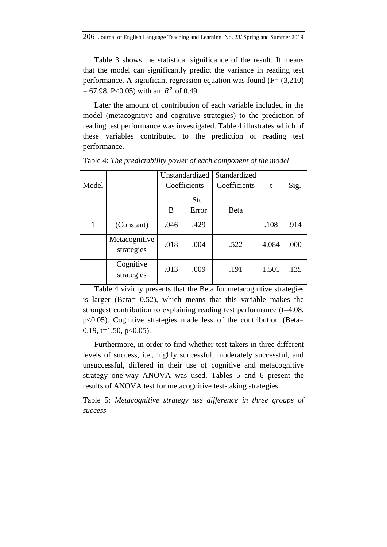Table 3 shows the statistical significance of the result. It means that the model can significantly predict the variance in reading test performance. A significant regression equation was found  $(F=(3,210)$  $= 67.98$ , P<0.05) with an  $R^2$  of 0.49.

Later the amount of contribution of each variable included in the model (metacognitive and cognitive strategies) to the prediction of reading test performance was investigated. Table 4 illustrates which of these variables contributed to the prediction of reading test performance.

| Model |                             | Unstandardized<br>Coefficients |               | Standardized<br>Coefficients | t     | Sig. |
|-------|-----------------------------|--------------------------------|---------------|------------------------------|-------|------|
|       |                             | B                              | Std.<br>Error | <b>B</b> eta                 |       |      |
|       | (Constant)                  | .046                           | .429          |                              | .108  | .914 |
|       | Metacognitive<br>strategies | .018                           | .004          | .522                         | 4.084 | .000 |
|       | Cognitive<br>strategies     | .013                           | .009          | .191                         | 1.501 | .135 |

Table 4: *The predictability power of each component of the model*

Table 4 vividly presents that the Beta for metacognitive strategies is larger (Beta= 0.52), which means that this variable makes the strongest contribution to explaining reading test performance (t=4.08, p<0.05). Cognitive strategies made less of the contribution (Beta= 0.19,  $t=1.50$ ,  $p<0.05$ ).

Furthermore, in order to find whether test-takers in three different levels of success, i.e., highly successful, moderately successful, and unsuccessful, differed in their use of cognitive and metacognitive strategy one-way ANOVA was used. Tables 5 and 6 present the results of ANOVA test for metacognitive test-taking strategies.

Table 5: *Metacognitive strategy use difference in three groups of success*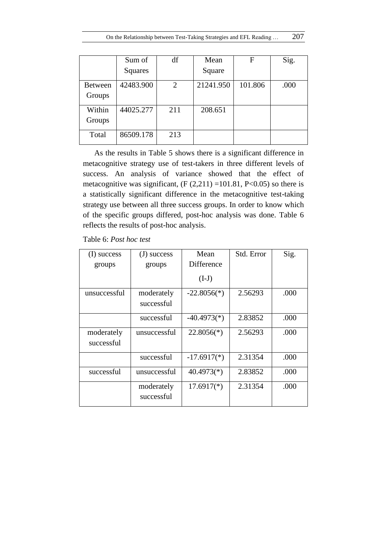|                | Sum of    | df  | Mean      | F       | Sig. |
|----------------|-----------|-----|-----------|---------|------|
|                | Squares   |     | Square    |         |      |
| <b>Between</b> | 42483.900 | 2   | 21241.950 | 101.806 | .000 |
| Groups         |           |     |           |         |      |
| Within         | 44025.277 | 211 | 208.651   |         |      |
| Groups         |           |     |           |         |      |
| Total          | 86509.178 | 213 |           |         |      |

As the results in Table 5 shows there is a significant difference in metacognitive strategy use of test-takers in three different levels of success. An analysis of variance showed that the effect of metacognitive was significant,  $(F (2,211) = 101.81, P < 0.05)$  so there is a statistically significant difference in the metacognitive test-taking strategy use between all three success groups. In order to know which of the specific groups differed, post-hoc analysis was done. Table 6 reflects the results of post-hoc analysis.

| Table 6: Post hoc test |  |  |  |  |
|------------------------|--|--|--|--|
|------------------------|--|--|--|--|

| (I) success              | success<br>(J)           | Mean          | Std. Error | Sig. |
|--------------------------|--------------------------|---------------|------------|------|
| groups                   | groups                   | Difference    |            |      |
|                          |                          | $(I-J)$       |            |      |
| unsuccessful             | moderately<br>successful | $-22.8056(*)$ | 2.56293    | .000 |
|                          | successful               | $-40.4973(*)$ | 2.83852    | .000 |
| moderately<br>successful | unsuccessful             | $22.8056(*)$  | 2.56293    | .000 |
|                          | successful               | $-17.6917(*)$ | 2.31354    | .000 |
| successful               | unsuccessful             | $40.4973(*)$  | 2.83852    | .000 |
|                          | moderately<br>successful | $17.6917(*)$  | 2.31354    | .000 |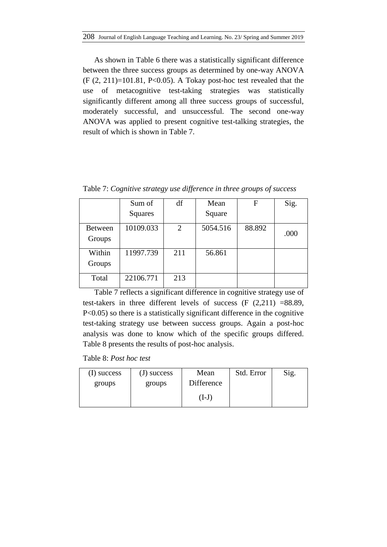As shown in Table 6 there was a statistically significant difference between the three success groups as determined by one-way ANOVA  $(F (2, 211)=101.81, P<0.05)$ . A Tokay post-hoc test revealed that the use of metacognitive test-taking strategies was statistically significantly different among all three success groups of successful, moderately successful, and unsuccessful. The second one-way ANOVA was applied to present cognitive test-talking strategies, the result of which is shown in Table 7.

Sum of Squares df Mean Square  $F$  | Sig. Between Groups  $10109.033$  2 5054.516 88.892  $_{000}$ Within Groups 11997.739 211 56.861 Total 22106.771 213

Table 7: *Cognitive strategy use difference in three groups of success*

Table 7 reflects a significant difference in cognitive strategy use of test-takers in three different levels of success (F (2,211) =88.89, P<0.05) so there is a statistically significant difference in the cognitive test-taking strategy use between success groups. Again a post-hoc analysis was done to know which of the specific groups differed. Table 8 presents the results of post-hoc analysis.

Table 8: *Post hoc test*

| (I) success | (J) success | Mean       | Std. Error | Sig. |
|-------------|-------------|------------|------------|------|
| groups      | groups      | Difference |            |      |
|             |             | $(I-J)$    |            |      |
|             |             |            |            |      |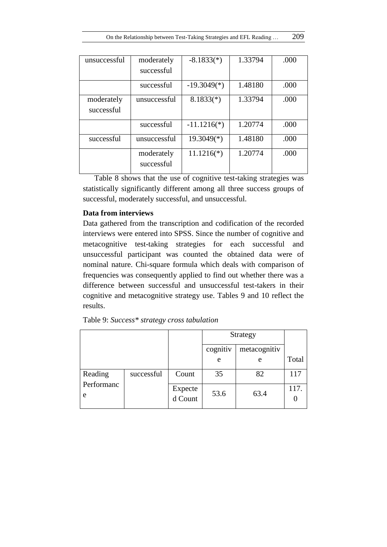| moderately   | $-8.1833(*)$  | 1.33794 | .000 |
|--------------|---------------|---------|------|
| successful   |               |         |      |
| successful   | $-19.3049(*)$ | 1.48180 | .000 |
| unsuccessful | $8.1833(*)$   | 1.33794 | .000 |
|              |               |         |      |
| successful   | $-11.1216(*)$ | 1.20774 | .000 |
| unsuccessful | $19.3049(*)$  | 1.48180 | .000 |
| moderately   | $11.1216(*)$  | 1.20774 | .000 |
| successful   |               |         |      |
|              |               |         |      |

Table 8 shows that the use of cognitive test-taking strategies was statistically significantly different among all three success groups of successful, moderately successful, and unsuccessful.

# **Data from interviews**

Data gathered from the transcription and codification of the recorded interviews were entered into SPSS. Since the number of cognitive and metacognitive test-taking strategies for each successful and unsuccessful participant was counted the obtained data were of nominal nature. Chi-square formula which deals with comparison of frequencies was consequently applied to find out whether there was a difference between successful and unsuccessful test-takers in their cognitive and metacognitive strategy use. Tables 9 and 10 reflect the results.

|                 |            |                    | Strategy |              |       |
|-----------------|------------|--------------------|----------|--------------|-------|
|                 |            |                    | cognitiv | metacognitiv |       |
|                 |            |                    | e        | e            | Total |
| Reading         | successful | Count              | 35       | 82           | 117   |
| Performanc<br>e |            | Expecte<br>d Count | 53.6     | 63.4         | 117.  |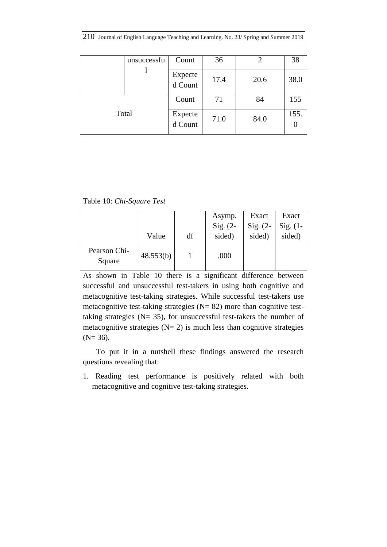210 Journal of English Language Teaching and Learning. No. 23/ Spring and Summer 2019

|       | unsuccessfu | Count              | 36   |      | 38   |
|-------|-------------|--------------------|------|------|------|
|       |             | Expecte<br>d Count | 17.4 | 20.6 | 38.0 |
| Total |             | Count              | 71   | 84   | 155  |
|       |             | Expecte<br>d Count | 71.0 | 84.0 | 155. |

Table 10: *Chi-Square Test*

|                        |           |    | Asymp.     | Exact      | Exact      |
|------------------------|-----------|----|------------|------------|------------|
|                        |           |    | Sig. $(2-$ | $Sig. (2-$ | $Sig. (1-$ |
|                        | Value     | df | sided)     | sided)     | sided)     |
| Pearson Chi-<br>Square | 48.553(b) |    | .000       |            |            |

As shown in Table 10 there is a significant difference between successful and unsuccessful test-takers in using both cognitive and metacognitive test-taking strategies. While successful test-takers use metacognitive test-taking strategies  $(N= 82)$  more than cognitive testtaking strategies ( $N = 35$ ), for unsuccessful test-takers the number of metacognitive strategies  $(N= 2)$  is much less than cognitive strategies  $(N= 36)$ .

To put it in a nutshell these findings answered the research questions revealing that:

1. Reading test performance is positively related with both metacognitive and cognitive test-taking strategies.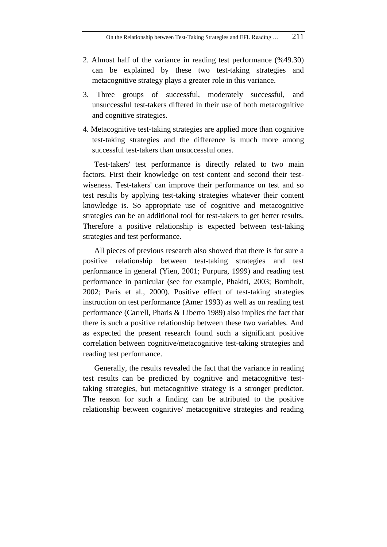- 2. Almost half of the variance in reading test performance (%49.30) can be explained by these two test-taking strategies and metacognitive strategy plays a greater role in this variance.
- 3. Three groups of successful, moderately successful, and unsuccessful test-takers differed in their use of both metacognitive and cognitive strategies.
- 4. Metacognitive test-taking strategies are applied more than cognitive test-taking strategies and the difference is much more among successful test-takers than unsuccessful ones.

Test-takers' test performance is directly related to two main factors. First their knowledge on test content and second their testwiseness. Test-takers' can improve their performance on test and so test results by applying test-taking strategies whatever their content knowledge is. So appropriate use of cognitive and metacognitive strategies can be an additional tool for test-takers to get better results. Therefore a positive relationship is expected between test-taking strategies and test performance.

All pieces of previous research also showed that there is for sure a positive relationship between test-taking strategies and test performance in general (Yien, 2001; Purpura, 1999) and reading test performance in particular (see for example, Phakiti, 2003; Bornholt, 2002; Paris et al., 2000). Positive effect of test-taking strategies instruction on test performance (Amer 1993) as well as on reading test performance (Carrell, Pharis & Liberto 1989) also implies the fact that there is such a positive relationship between these two variables. And as expected the present research found such a significant positive correlation between cognitive/metacognitive test-taking strategies and reading test performance.

Generally, the results revealed the fact that the variance in reading test results can be predicted by cognitive and metacognitive testtaking strategies, but metacognitive strategy is a stronger predictor. The reason for such a finding can be attributed to the positive relationship between cognitive/ metacognitive strategies and reading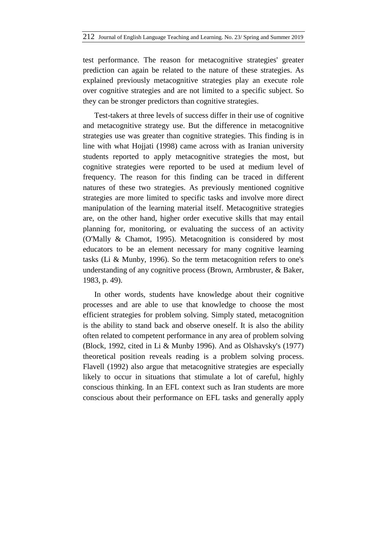test performance. The reason for metacognitive strategies' greater prediction can again be related to the nature of these strategies. As explained previously metacognitive strategies play an execute role over cognitive strategies and are not limited to a specific subject. So they can be stronger predictors than cognitive strategies.

Test-takers at three levels of success differ in their use of cognitive and metacognitive strategy use. But the difference in metacognitive strategies use was greater than cognitive strategies. This finding is in line with what Hojjati (1998) came across with as Iranian university students reported to apply metacognitive strategies the most, but cognitive strategies were reported to be used at medium level of frequency. The reason for this finding can be traced in different natures of these two strategies. As previously mentioned cognitive strategies are more limited to specific tasks and involve more direct manipulation of the learning material itself. Metacognitive strategies are, on the other hand, higher order executive skills that may entail planning for, monitoring, or evaluating the success of an activity (O'Mally & Chamot, 1995). Metacognition is considered by most educators to be an element necessary for many cognitive learning tasks (Li & Munby, 1996). So the term metacognition refers to one's understanding of any cognitive process (Brown, Armbruster, & Baker, 1983, p. 49).

In other words, students have knowledge about their cognitive processes and are able to use that knowledge to choose the most efficient strategies for problem solving. Simply stated, metacognition is the ability to stand back and observe oneself. It is also the ability often related to competent performance in any area of problem solving (Block, 1992, cited in Li & Munby 1996). And as Olshavsky's (1977) theoretical position reveals reading is a problem solving process. Flavell (1992) also argue that metacognitive strategies are especially likely to occur in situations that stimulate a lot of careful, highly conscious thinking. In an EFL context such as Iran students are more conscious about their performance on EFL tasks and generally apply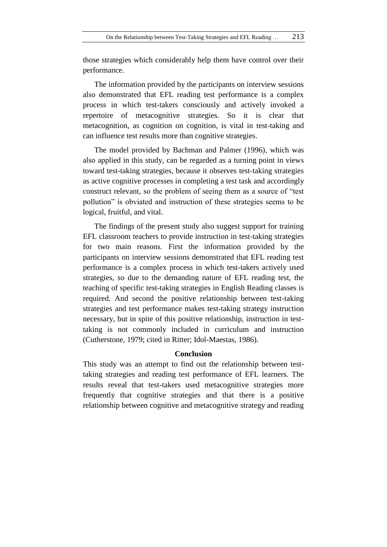those strategies which considerably help them have control over their performance.

The information provided by the participants on interview sessions also demonstrated that EFL reading test performance is a complex process in which test-takers consciously and actively invoked a repertoire of metacognitive strategies. So it is clear that metacognition, as cognition on cognition, is vital in test-taking and can influence test results more than cognitive strategies.

The model provided by Bachman and Palmer (1996), which was also applied in this study, can be regarded as a turning point in views toward test-taking strategies, because it observes test-taking strategies as active cognitive processes in completing a test task and accordingly construct relevant, so the problem of seeing them as a source of "test pollution" is obviated and instruction of these strategies seems to be logical, fruitful, and vital.

The findings of the present study also suggest support for training EFL classroom teachers to provide instruction in test-taking strategies for two main reasons. First the information provided by the participants on interview sessions demonstrated that EFL reading test performance is a complex process in which test-takers actively used strategies, so due to the demanding nature of EFL reading test, the teaching of specific test-taking strategies in English Reading classes is required. And second the positive relationship between test-taking strategies and test performance makes test-taking strategy instruction necessary, but in spite of this positive relationship, instruction in testtaking is not commonly included in curriculum and instruction (Cutherstone, 1979; cited in Ritter; Idol-Maestas, 1986).

## **Conclusion**

This study was an attempt to find out the relationship between testtaking strategies and reading test performance of EFL learners. The results reveal that test-takers used metacognitive strategies more frequently that cognitive strategies and that there is a positive relationship between cognitive and metacognitive strategy and reading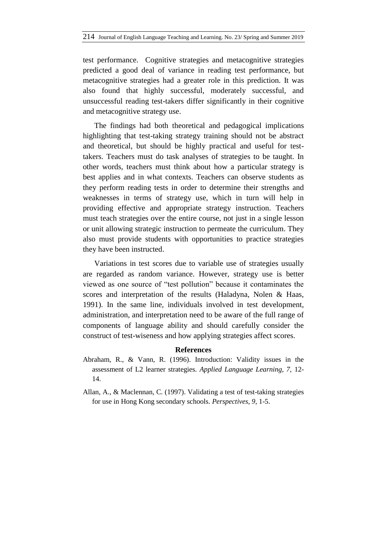test performance. Cognitive strategies and metacognitive strategies predicted a good deal of variance in reading test performance, but metacognitive strategies had a greater role in this prediction. It was also found that highly successful, moderately successful, and unsuccessful reading test-takers differ significantly in their cognitive and metacognitive strategy use.

The findings had both theoretical and pedagogical implications highlighting that test-taking strategy training should not be abstract and theoretical, but should be highly practical and useful for testtakers. Teachers must do task analyses of strategies to be taught. In other words, teachers must think about how a particular strategy is best applies and in what contexts. Teachers can observe students as they perform reading tests in order to determine their strengths and weaknesses in terms of strategy use, which in turn will help in providing effective and appropriate strategy instruction. Teachers must teach strategies over the entire course, not just in a single lesson or unit allowing strategic instruction to permeate the curriculum. They also must provide students with opportunities to practice strategies they have been instructed.

Variations in test scores due to variable use of strategies usually are regarded as random variance. However, strategy use is better viewed as one source of "test pollution" because it contaminates the scores and interpretation of the results (Haladyna, Nolen & Haas, 1991). In the same line, individuals involved in test development, administration, and interpretation need to be aware of the full range of components of language ability and should carefully consider the construct of test-wiseness and how applying strategies affect scores.

#### **References**

- Abraham, R., & Vann, R. (1996). Introduction: Validity issues in the assessment of L2 learner strategies. *Applied Language Learning, 7,* 12- 14.
- Allan, A., & Maclennan, C. (1997). Validating a test of test-taking strategies for use in Hong Kong secondary schools. *Perspectives, 9,* 1-5.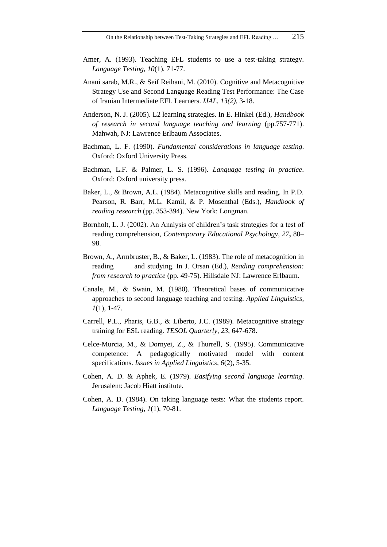- Amer, A. (1993). Teaching EFL students to use a test-taking strategy. *Language Testing, 10*(1), 71-77.
- Anani sarab, M.R., & Seif Reihani, M. (2010). Cognitive and Metacognitive Strategy Use and Second Language Reading Test Performance: The Case of Iranian Intermediate EFL Learners. *IJAL, 13(2),* 3-18.
- Anderson, N. J. (2005). L2 learning strategies. In E. Hinkel (Ed.), *Handbook of research in second language teaching and learning* (pp.757-771). Mahwah, NJ: Lawrence Erlbaum Associates.
- Bachman, L. F. (1990). *Fundamental considerations in language testing*. Oxford: Oxford University Press.
- Bachman, L.F. & Palmer, L. S. (1996). *Language testing in practice*. Oxford: Oxford university press.
- Baker, L., & Brown, A.L. (1984). Metacognitive skills and reading. In P.D. Pearson, R. Barr, M.L. Kamil, & P. Mosenthal (Eds.), *Handbook of reading research* (pp. 353-394). New York: Longman.
- Bornholt, L. J. (2002). An Analysis of children's task strategies for a test of reading comprehension, *Contemporary Educational Psychology, 27***,** 80– 98.
- Brown, A., Armbruster, B., & Baker, L. (1983). The role of metacognition in reading and studying. In J. Orsan (Ed.), *Reading comprehension: from research to practice* (pp. 49-75). Hillsdale NJ: Lawrence Erlbaum.
- Canale, M., & Swain, M. (1980). Theoretical bases of communicative approaches to second language teaching and testing. *Applied Linguistics, 1*(1), 1-47.
- Carrell, P.L., Pharis, G.B., & Liberto, J.C. (1989). Metacognitive strategy training for ESL reading. *TESOL Quarterly, 23*, 647-678.
- Celce-Murcia, M., & Dornyei, Z., & Thurrell, S. (1995). Communicative competence: A pedagogically motivated model with content specifications. *Issues in Applied Linguistics, 6*(2), 5-35.
- Cohen, A. D. & Aphek, E. (1979). *Easifying second language learning*. Jerusalem: Jacob Hiatt institute.
- Cohen, A. D. (1984). On taking language tests: What the students report. *Language Testing, 1*(1), 70-81.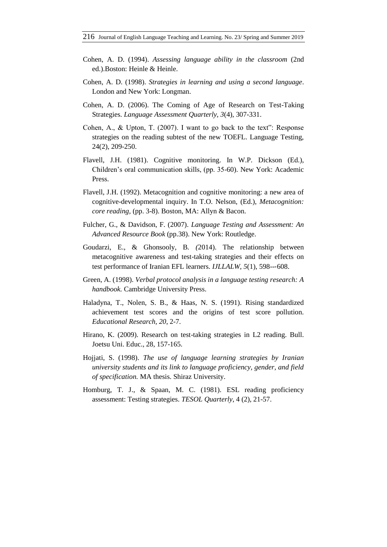- Cohen, A. D. (1994). *Assessing language ability in the classroom* (2nd ed.).Boston: Heinle & Heinle.
- Cohen, A. D. (1998). *Strategies in learning and using a second language*. London and New York: Longman.
- Cohen, A. D. (2006). The Coming of Age of Research on Test-Taking Strategies. *Language Assessment Quarterly, 3*(4), 307-331.
- Cohen, A., & Upton, T. (2007). I want to go back to the text": Response strategies on the reading subtest of the new TOEFL. Language Testing, 24(2), 209-250.
- Flavell, J.H. (1981). Cognitive monitoring. In W.P. Dickson (Ed.), Children's oral communication skills, (pp. 35-60). New York: Academic Press.
- Flavell, J.H. (1992). Metacognition and cognitive monitoring: a new area of cognitive-developmental inquiry. In T.O. Nelson, (Ed.), *Metacognition: core reading,* (pp. 3-8). Boston, MA: Allyn & Bacon.
- Fulcher, G., & Davidson, F. (2007). *Language Testing and Assessment: An Advanced Resource Book* (pp.38). New York: Routledge.
- Goudarzi, E., & Ghonsooly, B*. (*2014). The relationship between metacognitive awareness and test-taking strategies and their effects on test performance of Iranian EFL learners. *IJLLALW*, 5(1), 598---608.
- Green, A. (1998). *Verbal protocol analysis in a language testing research: A handbook.* Cambridge University Press.
- Haladyna, T., Nolen, S. B., & Haas, N. S. (1991). Rising standardized achievement test scores and the origins of test score pollution. *Educational Research, 20*, 2-7.
- Hirano, K. (2009). Research on test-taking strategies in L2 reading. Bull. Joetsu Uni. Educ., 28, 157-165.
- Hojjati, S. (1998). *The use of language learning strategies by Iranian university students and its link to language proficiency, gender, and field of specification.* MA thesis. Shiraz University.
- Homburg, T. J., & Spaan, M. C. (1981). ESL reading proficiency assessment: Testing strategies. *TESOL Quarterly*, 4 (2), 21-57.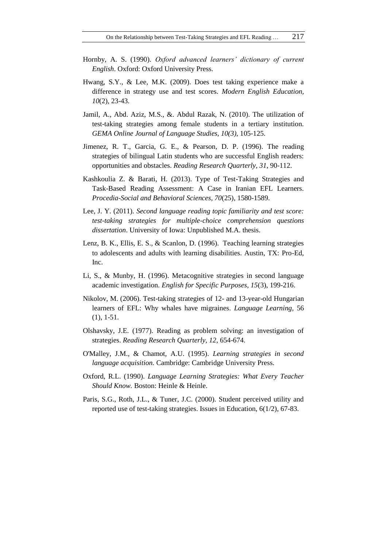- Hornby, A. S. (1990). *Oxford advanced learners' dictionary of current English*. Oxford: Oxford University Press.
- Hwang, S.Y., & Lee, M.K. (2009). Does test taking experience make a difference in strategy use and test scores. *Modern English Education, 10*(2), 23-43.
- Jamil, A., Abd. Aziz, M.S., &. Abdul Razak, N. (2010). The utilization of test-taking strategies among female students in a tertiary institution. *GEMA Online Journal of Language Studies, 10(3),* 105-125.
- Jimenez, R. T., Garcia, G. E., & Pearson, D. P. (1996). The reading strategies of bilingual Latin students who are successful English readers: opportunities and obstacles. *Reading Research Quarterly*, *31*, 90-112.
- Kashkoulia Z. & Barati, H. (2013). Type of Test-Taking Strategies and Task-Based Reading Assessment: A Case in Iranian EFL Learners. *Procedia-Social and Behavioral Sciences, 70*(25), 1580-1589.
- Lee, J. Y. (2011). *Second language reading topic familiarity and test score: test-taking strategies for multiple-choice comprehension questions dissertation*. University of Iowa: Unpublished M.A. thesis.
- Lenz, B. K., Ellis, E. S., & Scanlon, D. (1996). Teaching learning strategies to adolescents and adults with learning disabilities. Austin, TX: Pro-Ed, Inc.
- Li, S., & Munby, H. (1996). Metacognitive strategies in second language academic investigation. *English for Specific Purposes, 15*(3), 199-216.
- Nikolov, M. (2006). Test-taking strategies of 12- and 13-year-old Hungarian learners of EFL: Why whales have migraines. *Language Learning,* 56 (1), 1-51.
- Olshavsky, J.E. (1977). Reading as problem solving: an investigation of strategies. *Reading Research Quarterly, 12*, 654-674.
- O'Malley, J.M., & Chamot, A.U. (1995). *Learning strategies in second language acquisition.* Cambridge: Cambridge University Press.
- Oxford, R.L. (1990). *Language Learning Strategies: What Every Teacher Should Know.* Boston: Heinle & Heinle.
- Paris, S.G., Roth, J.L., & Tuner, J.C. (2000). Student perceived utility and reported use of test-taking strategies. Issues in Education, 6(1/2), 67-83.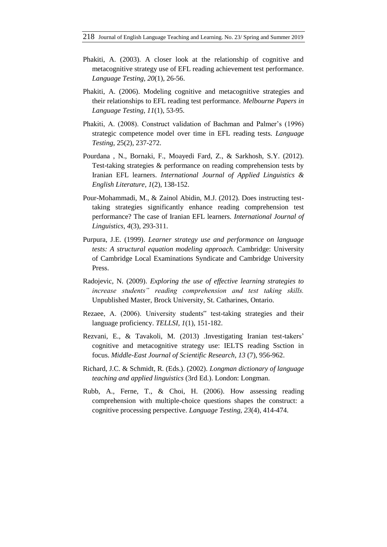- Phakiti, A. (2003). A closer look at the relationship of cognitive and metacognitive strategy use of EFL reading achievement test performance. *Language Testing, 20*(1), 26-56.
- Phakiti, A. (2006). Modeling cognitive and metacognitive strategies and their relationships to EFL reading test performance. *Melbourne Papers in Language Testing, 11*(1), 53-95.
- Phakiti, A. (2008). Construct validation of Bachman and Palmer's (1996) strategic competence model over time in EFL reading tests. *Language Testing,* 25(2), 237-272.
- Pourdana , N., Bornaki, F., Moayedi Fard, Z., & Sarkhosh, S.Y. (2012). Test-taking strategies & performance on reading comprehension tests by Iranian EFL learners. *International Journal of Applied Linguistics & English Literature, 1*(2), 138-152.
- Pour-Mohammadi, M., & Zainol Abidin, M.J. (2012). Does instructing testtaking strategies significantly enhance reading comprehension test performance? The case of Iranian EFL learners. *International Journal of Linguistics, 4*(3), 293-311.
- Purpura, J.E. (1999). *Learner strategy use and performance on language tests: A structural equation modeling approach.* Cambridge: University of Cambridge Local Examinations Syndicate and Cambridge University Press.
- Radojevic, N. (2009). *Exploring the use of effective learning strategies to increase students" reading comprehension and test taking skills.* Unpublished Master, Brock University, St. Catharines, Ontario.
- Rezaee, A. (2006). University students" test-taking strategies and their language proficiency. *TELLSI, 1*(1), 151-182.
- Rezvani, E., & Tavakoli, M. (2013) .Investigating Iranian test-takers' cognitive and metacognitive strategy use: IELTS reading Ssction in focus. *Middle-East Journal of Scientific Research, 13* (7), 956-962.
- Richard, J.C. & Schmidt, R. (Eds.). (2002). *Longman dictionary of language teaching and applied linguistics* (3rd Ed.). London: Longman.
- Rubb, A., Ferne, T., & Choi, H. (2006). How assessing reading comprehension with multiple-choice questions shapes the construct: a cognitive processing perspective. *Language Testing, 23*(4), 414-474.